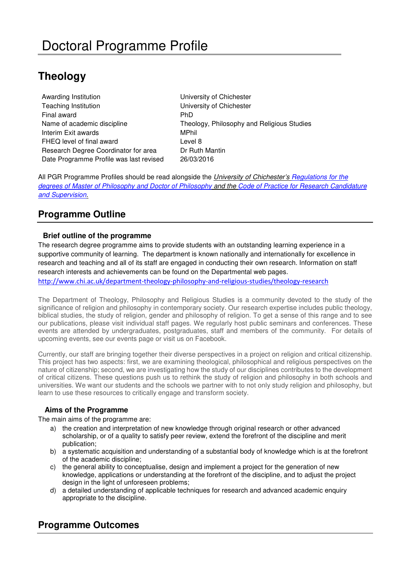# **Theology**

Awarding Institution **National Contract Chichester** University of Chichester Teaching Institution University of Chichester Final award **PhD** Interim Exit awards MPhil FHEQ level of final award **EXALC 10** Level 8 Research Degree Coordinator for area Dr Ruth Mantin Date Programme Profile was last revised 26/03/2016

Name of academic discipline Theology, Philosophy and Religious Studies

All PGR Programme Profiles should be read alongside the University of Chichester's Regulations for the [degrees of Master of Philosophy and Doctor of Philosophy](http://www.chi.ac.uk/%3Cfront%3E/about-us/how-we-work/policies/academic-policies) and the Code of Practice for Research Candidature [and Supervision.](http://d3mcbia3evjswv.cloudfront.net/files/Academic%20Board%2017%20Code%20of%20Practice%20for%20Research%20Candidature.pdf?3y1HrtDLYQ0M8uLsL.65i1fF_yx9snAE)

## **Programme Outline**

## **Brief outline of the programme**

The research degree programme aims to provide students with an outstanding learning experience in a supportive community of learning. The department is known nationally and internationally for excellence in research and teaching and all of its staff are engaged in conducting their own research. Information on staff research interests and achievements can be found on the Departmental web pages.

<http://www.chi.ac.uk/department-theology-philosophy-and-religious-studies/theology-research>

The Department of Theology, Philosophy and Religious Studies is a community devoted to the study of the significance of religion and philosophy in contemporary society. Our research expertise includes public theology, biblical studies, the study of religion, gender and philosophy of religion. To get a sense of this range and to see our publications, please visit individual staff pages. We regularly host public seminars and conferences. These events are attended by undergraduates, postgraduates, staff and members of the community. For details of upcoming events, see our events page or visit us on Facebook.

Currently, our staff are bringing together their diverse perspectives in a project on religion and critical citizenship. This project has two aspects: first, we are examining theological, philosophical and religious perspectives on the nature of citizenship; second, we are investigating how the study of our disciplines contributes to the development of critical citizens. These questions push us to rethink the study of religion and philosophy in both schools and universities. We want our students and the schools we partner with to not only study religion and philosophy, but learn to use these resources to critically engage and transform society.

## **Aims of the Programme**

The main aims of the programme are:

- a) the creation and interpretation of new knowledge through original research or other advanced scholarship, or of a quality to satisfy peer review, extend the forefront of the discipline and merit publication;
- b) a systematic acquisition and understanding of a substantial body of knowledge which is at the forefront of the academic discipline;
- c) the general ability to conceptualise, design and implement a project for the generation of new knowledge, applications or understanding at the forefront of the discipline, and to adjust the project design in the light of unforeseen problems;
- d) a detailed understanding of applicable techniques for research and advanced academic enquiry appropriate to the discipline.

## **Programme Outcomes**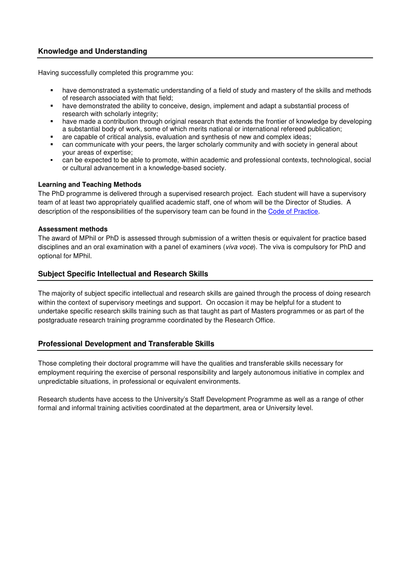### **Knowledge and Understanding**

Having successfully completed this programme you:

- have demonstrated a systematic understanding of a field of study and mastery of the skills and methods of research associated with that field;
- have demonstrated the ability to conceive, design, implement and adapt a substantial process of research with scholarly integrity;
- have made a contribution through original research that extends the frontier of knowledge by developing a substantial body of work, some of which merits national or international refereed publication;
- are capable of critical analysis, evaluation and synthesis of new and complex ideas;
- can communicate with your peers, the larger scholarly community and with society in general about your areas of expertise;
- can be expected to be able to promote, within academic and professional contexts, technological, social or cultural advancement in a knowledge-based society.

#### **Learning and Teaching Methods**

The PhD programme is delivered through a supervised research project. Each student will have a supervisory team of at least two appropriately qualified academic staff, one of whom will be the Director of Studies. A description of the responsibilities of the supervisory team can be found in the [Code of Practice.](http://d3mcbia3evjswv.cloudfront.net/files/Academic%20Board%2017%20Code%20of%20Practice%20for%20Research%20Candidature.pdf?3y1HrtDLYQ0M8uLsL.65i1fF_yx9snAE)

#### **Assessment methods**

The award of MPhil or PhD is assessed through submission of a written thesis or equivalent for practice based disciplines and an oral examination with a panel of examiners (*viva voce*). The viva is compulsory for PhD and optional for MPhil.

#### **Subject Specific Intellectual and Research Skills**

The majority of subject specific intellectual and research skills are gained through the process of doing research within the context of supervisory meetings and support. On occasion it may be helpful for a student to undertake specific research skills training such as that taught as part of Masters programmes or as part of the postgraduate research training programme coordinated by the Research Office.

#### **Professional Development and Transferable Skills**

Those completing their doctoral programme will have the qualities and transferable skills necessary for employment requiring the exercise of personal responsibility and largely autonomous initiative in complex and unpredictable situations, in professional or equivalent environments.

Research students have access to the University's Staff Development Programme as well as a range of other formal and informal training activities coordinated at the department, area or University level.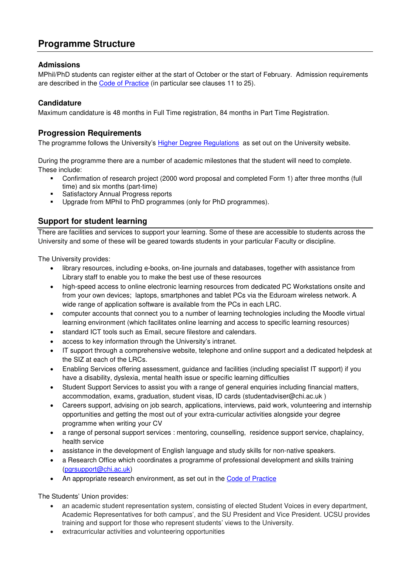## **Programme Structure**

## **Admissions**

MPhil/PhD students can register either at the start of October or the start of February. Admission requirements are described in the [Code of Practice](http://d3mcbia3evjswv.cloudfront.net/files/Academic%20Board%2017%20Code%20of%20Practice%20for%20Research%20Candidature.pdf?3y1HrtDLYQ0M8uLsL.65i1fF_yx9snAE) (in particular see clauses 11 to 25).

## **Candidature**

Maximum candidature is 48 months in Full Time registration, 84 months in Part Time Registration.

## **Progression Requirements**

The programme follows the University's [Higher Degree Regulations](http://www.chi.ac.uk/%3Cfront%3E/about-us/how-we-work/policies/academic-policies) as set out on the University website.

During the programme there are a number of academic milestones that the student will need to complete. These include:

- Confirmation of research project (2000 word proposal and completed Form 1) after three months (full time) and six months (part-time)
- **Satisfactory Annual Progress reports**
- Upgrade from MPhil to PhD programmes (only for PhD programmes).

## **Support for student learning**

There are facilities and services to support your learning. Some of these are accessible to students across the University and some of these will be geared towards students in your particular Faculty or discipline.

The University provides:

- library resources, including e-books, on-line journals and databases, together with assistance from Library staff to enable you to make the best use of these resources
- high-speed access to online electronic learning resources from dedicated PC Workstations onsite and from your own devices; laptops, smartphones and tablet PCs via the Eduroam wireless network. A wide range of application software is available from the PCs in each LRC.
- computer accounts that connect you to a number of learning technologies including the Moodle virtual learning environment (which facilitates online learning and access to specific learning resources)
- standard ICT tools such as Email, secure filestore and calendars.
- access to key information through the University's intranet.
- IT support through a comprehensive website, telephone and online support and a dedicated helpdesk at the SIZ at each of the LRCs.
- Enabling Services offering assessment, guidance and facilities (including specialist IT support) if you have a disability, dyslexia, mental health issue or specific learning difficulties
- Student Support Services to assist you with a range of general enquiries including financial matters, accommodation, exams, graduation, student visas, ID cards (studentadviser@chi.ac.uk )
- Careers support, advising on job search, applications, interviews, paid work, volunteering and internship opportunities and getting the most out of your extra-curricular activities alongside your degree programme when writing your CV
- a range of personal support services : mentoring, counselling, residence support service, chaplaincy, health service
- assistance in the development of English language and study skills for non-native speakers.
- a Research Office which coordinates a programme of professional development and skills training [\(pgrsupport@chi.ac.uk\)](mailto:pgrsupport@chi.ac.uk)
- An appropriate research environment, as set out in the [Code of Practice](http://d3mcbia3evjswv.cloudfront.net/files/Academic%20Board%2017%20Code%20of%20Practice%20for%20Research%20Candidature.pdf?3y1HrtDLYQ0M8uLsL.65i1fF_yx9snAE)

The Students' Union provides:

- an academic student representation system, consisting of elected Student Voices in every department, Academic Representatives for both campus', and the SU President and Vice President. UCSU provides training and support for those who represent students' views to the University.
- extracurricular activities and volunteering opportunities